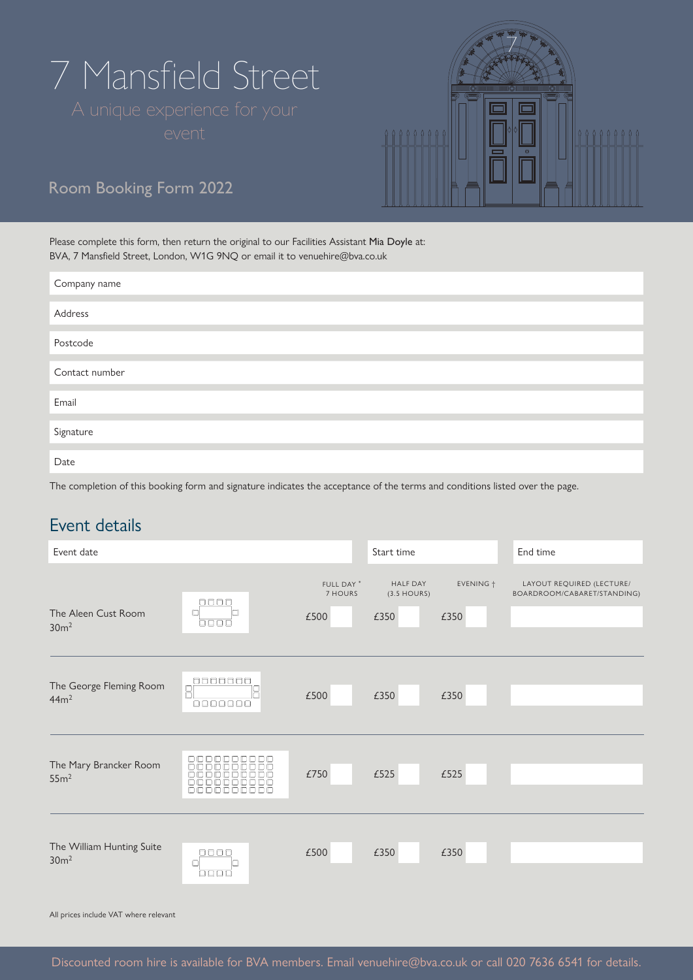# 7 Mansfield Street

| <b>mmmmm</b><br><b>mmc3000</b><br>۰             |  |
|-------------------------------------------------|--|
| <u>(இயயாகு)</u><br><b>Commo</b><br>ଟ<br>$\circ$ |  |

# Room Booking Form 2022

Please complete this form, then return the original to our Facilities Assistant Mia Doyle at: BVA, 7 Mansfield Street, London, W1G 9NQ or email it to venuehire@bva.co.uk

| Company name   |  |
|----------------|--|
|                |  |
| Address        |  |
|                |  |
| Postcode       |  |
|                |  |
| Contact number |  |
|                |  |
| Email          |  |
|                |  |
| Signature      |  |
|                |  |
| Date           |  |
|                |  |

The completion of this booking form and signature indicates the acceptance of the terms and conditions listed over the page.

## Event details

| Event date                                    |                                                                               |                                          | Start time                               |                   | End time                                                 |
|-----------------------------------------------|-------------------------------------------------------------------------------|------------------------------------------|------------------------------------------|-------------------|----------------------------------------------------------|
| The Aleen Cust Room<br>30 <sup>m²</sup>       | $\Box$<br>a<br>$\begin{array}{c} \square \square \square \square \end{array}$ | FULL DAY <sup>*</sup><br>7 HOURS<br>£500 | <b>HALF DAY</b><br>$(3.5$ HOURS)<br>£350 | EVENING +<br>£350 | LAYOUT REQUIRED (LECTURE/<br>BOARDROOM/CABARET/STANDING) |
| The George Fleming Room<br>44m <sup>2</sup>   | 0000000<br>$\overline{\mathbb{R}}$<br>0000000                                 | £500                                     | £350                                     | £350              |                                                          |
| The Mary Brancker Room<br>55m <sup>2</sup>    | DODDDDDDDD<br>0000000<br>والمالحالها<br>همسهمه<br>nг<br>n<br>n                | £750                                     | £525                                     | £525              |                                                          |
| The William Hunting Suite<br>30 <sup>m²</sup> | $\Box$<br>a<br>ooor                                                           | £500                                     | £350                                     | £350              |                                                          |

All prices include VAT where relevant